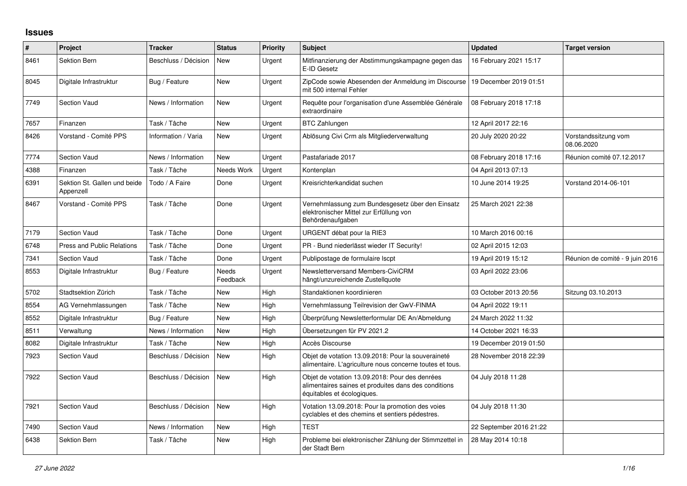## **Issues**

| ∦    | Project                                   | <b>Tracker</b>       | <b>Status</b>     | <b>Priority</b> | <b>Subject</b>                                                                                                                       | <b>Updated</b>          | <b>Target version</b>              |
|------|-------------------------------------------|----------------------|-------------------|-----------------|--------------------------------------------------------------------------------------------------------------------------------------|-------------------------|------------------------------------|
| 8461 | Sektion Bern                              | Beschluss / Décision | <b>New</b>        | Urgent          | Mitfinanzierung der Abstimmungskampagne gegen das<br>E-ID Gesetz                                                                     | 16 February 2021 15:17  |                                    |
| 8045 | Digitale Infrastruktur                    | Bug / Feature        | New               | Urgent          | ZipCode sowie Abesenden der Anmeldung im Discourse<br>mit 500 internal Fehler                                                        | 19 December 2019 01:51  |                                    |
| 7749 | Section Vaud                              | News / Information   | <b>New</b>        | Urgent          | Requête pour l'organisation d'une Assemblée Générale<br>extraordinaire                                                               | 08 February 2018 17:18  |                                    |
| 7657 | Finanzen                                  | Task / Tâche         | <b>New</b>        | Urgent          | <b>BTC Zahlungen</b>                                                                                                                 | 12 April 2017 22:16     |                                    |
| 8426 | Vorstand - Comité PPS                     | Information / Varia  | New               | Urgent          | Ablösung Civi Crm als Mitgliederverwaltung                                                                                           | 20 July 2020 20:22      | Vorstandssitzung vom<br>08.06.2020 |
| 7774 | <b>Section Vaud</b>                       | News / Information   | <b>New</b>        | Urgent          | Pastafariade 2017                                                                                                                    | 08 February 2018 17:16  | Réunion comité 07.12.2017          |
| 4388 | Finanzen                                  | Task / Tâche         | Needs Work        | Urgent          | Kontenplan                                                                                                                           | 04 April 2013 07:13     |                                    |
| 6391 | Sektion St. Gallen und beide<br>Appenzell | Todo / A Faire       | Done              | Urgent          | Kreisrichterkandidat suchen                                                                                                          | 10 June 2014 19:25      | Vorstand 2014-06-101               |
| 8467 | Vorstand - Comité PPS                     | Task / Tâche         | Done              | Urgent          | Vernehmlassung zum Bundesgesetz über den Einsatz<br>elektronischer Mittel zur Erfüllung von<br>Behördenaufgaben                      | 25 March 2021 22:38     |                                    |
| 7179 | <b>Section Vaud</b>                       | Task / Tâche         | Done              | Urgent          | URGENT débat pour la RIE3                                                                                                            | 10 March 2016 00:16     |                                    |
| 6748 | <b>Press and Public Relations</b>         | Task / Tâche         | Done              | Urgent          | PR - Bund niederlässt wieder IT Security!                                                                                            | 02 April 2015 12:03     |                                    |
| 7341 | <b>Section Vaud</b>                       | Task / Tâche         | Done              | Urgent          | Publipostage de formulaire Iscpt                                                                                                     | 19 April 2019 15:12     | Réunion de comité - 9 juin 2016    |
| 8553 | Digitale Infrastruktur                    | Bug / Feature        | Needs<br>Feedback | Urgent          | Newsletterversand Members-CiviCRM<br>hängt/unzureichende Zustellquote                                                                | 03 April 2022 23:06     |                                    |
| 5702 | Stadtsektion Zürich                       | Task / Tâche         | New               | High            | Standaktionen koordinieren                                                                                                           | 03 October 2013 20:56   | Sitzung 03.10.2013                 |
| 8554 | AG Vernehmlassungen                       | Task / Tâche         | <b>New</b>        | High            | Vernehmlassung Teilrevision der GwV-FINMA                                                                                            | 04 April 2022 19:11     |                                    |
| 8552 | Digitale Infrastruktur                    | Bug / Feature        | New               | High            | Überprüfung Newsletterformular DE An/Abmeldung                                                                                       | 24 March 2022 11:32     |                                    |
| 8511 | Verwaltung                                | News / Information   | <b>New</b>        | High            | Übersetzungen für PV 2021.2                                                                                                          | 14 October 2021 16:33   |                                    |
| 8082 | Digitale Infrastruktur                    | Task / Tâche         | New               | High            | Accès Discourse                                                                                                                      | 19 December 2019 01:50  |                                    |
| 7923 | <b>Section Vaud</b>                       | Beschluss / Décision | New               | High            | Objet de votation 13.09.2018: Pour la souveraineté<br>alimentaire. L'agriculture nous concerne toutes et tous.                       | 28 November 2018 22:39  |                                    |
| 7922 | Section Vaud                              | Beschluss / Décision | <b>New</b>        | High            | Objet de votation 13.09.2018: Pour des denrées<br>alimentaires saines et produites dans des conditions<br>équitables et écologiques. | 04 July 2018 11:28      |                                    |
| 7921 | <b>Section Vaud</b>                       | Beschluss / Décision | <b>New</b>        | High            | Votation 13.09.2018: Pour la promotion des voies<br>cyclables et des chemins et sentiers pédestres.                                  | 04 July 2018 11:30      |                                    |
| 7490 | Section Vaud                              | News / Information   | New               | High            | <b>TEST</b>                                                                                                                          | 22 September 2016 21:22 |                                    |
| 6438 | <b>Sektion Bern</b>                       | Task / Tâche         | <b>New</b>        | High            | Probleme bei elektronischer Zählung der Stimmzettel in<br>der Stadt Bern                                                             | 28 May 2014 10:18       |                                    |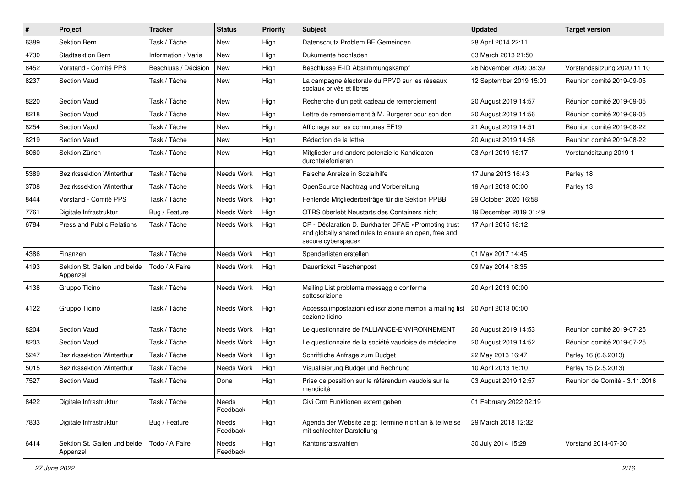| $\pmb{\#}$ | Project                                   | <b>Tracker</b>       | <b>Status</b>     | <b>Priority</b> | Subject                                                                                                                             | <b>Updated</b>          | <b>Target version</b>         |
|------------|-------------------------------------------|----------------------|-------------------|-----------------|-------------------------------------------------------------------------------------------------------------------------------------|-------------------------|-------------------------------|
| 6389       | Sektion Bern                              | Task / Tâche         | <b>New</b>        | High            | Datenschutz Problem BE Gemeinden                                                                                                    | 28 April 2014 22:11     |                               |
| 4730       | <b>Stadtsektion Bern</b>                  | Information / Varia  | <b>New</b>        | High            | Dukumente hochladen                                                                                                                 | 03 March 2013 21:50     |                               |
| 8452       | Vorstand - Comité PPS                     | Beschluss / Décision | New               | High            | Beschlüsse E-ID Abstimmungskampf                                                                                                    | 26 November 2020 08:39  | Vorstandssitzung 2020 11 10   |
| 8237       | <b>Section Vaud</b>                       | Task / Tâche         | New               | High            | La campagne électorale du PPVD sur les réseaux<br>sociaux privés et libres                                                          | 12 September 2019 15:03 | Réunion comité 2019-09-05     |
| 8220       | <b>Section Vaud</b>                       | Task / Tâche         | New               | High            | Recherche d'un petit cadeau de remerciement                                                                                         | 20 August 2019 14:57    | Réunion comité 2019-09-05     |
| 8218       | <b>Section Vaud</b>                       | Task / Tâche         | <b>New</b>        | High            | Lettre de remerciement à M. Burgerer pour son don                                                                                   | 20 August 2019 14:56    | Réunion comité 2019-09-05     |
| 8254       | <b>Section Vaud</b>                       | Task / Tâche         | New               | High            | Affichage sur les communes EF19                                                                                                     | 21 August 2019 14:51    | Réunion comité 2019-08-22     |
| 8219       | <b>Section Vaud</b>                       | Task / Tâche         | <b>New</b>        | High            | Rédaction de la lettre                                                                                                              | 20 August 2019 14:56    | Réunion comité 2019-08-22     |
| 8060       | Sektion Zürich                            | Task / Tâche         | <b>New</b>        | High            | Mitglieder und andere potenzielle Kandidaten<br>durchtelefonieren                                                                   | 03 April 2019 15:17     | Vorstandsitzung 2019-1        |
| 5389       | Bezirkssektion Winterthur                 | Task / Tâche         | Needs Work        | High            | Falsche Anreize in Sozialhilfe                                                                                                      | 17 June 2013 16:43      | Parley 18                     |
| 3708       | Bezirkssektion Winterthur                 | Task / Tâche         | Needs Work        | High            | OpenSource Nachtrag und Vorbereitung                                                                                                | 19 April 2013 00:00     | Parley 13                     |
| 8444       | Vorstand - Comité PPS                     | Task / Tâche         | Needs Work        | High            | Fehlende Mitgliederbeiträge für die Sektion PPBB                                                                                    | 29 October 2020 16:58   |                               |
| 7761       | Digitale Infrastruktur                    | Bug / Feature        | Needs Work        | High            | OTRS überlebt Neustarts des Containers nicht                                                                                        | 19 December 2019 01:49  |                               |
| 6784       | <b>Press and Public Relations</b>         | Task / Tâche         | Needs Work        | High            | CP - Déclaration D. Burkhalter DFAE «Promoting trust<br>and globally shared rules to ensure an open, free and<br>secure cyberspace» | 17 April 2015 18:12     |                               |
| 4386       | Finanzen                                  | Task / Tâche         | Needs Work        | High            | Spenderlisten erstellen                                                                                                             | 01 May 2017 14:45       |                               |
| 4193       | Sektion St. Gallen und beide<br>Appenzell | Todo / A Faire       | Needs Work        | High            | Dauerticket Flaschenpost                                                                                                            | 09 May 2014 18:35       |                               |
| 4138       | Gruppo Ticino                             | Task / Tâche         | Needs Work        | High            | Mailing List problema messaggio conferma<br>sottoscrizione                                                                          | 20 April 2013 00:00     |                               |
| 4122       | Gruppo Ticino                             | Task / Tâche         | Needs Work        | High            | Accesso, impostazioni ed iscrizione membri a mailing list<br>sezione ticino                                                         | 20 April 2013 00:00     |                               |
| 8204       | Section Vaud                              | Task / Tâche         | Needs Work        | High            | Le questionnaire de l'ALLIANCE-ENVIRONNEMENT                                                                                        | 20 August 2019 14:53    | Réunion comité 2019-07-25     |
| 8203       | <b>Section Vaud</b>                       | Task / Tâche         | Needs Work        | High            | Le questionnaire de la société vaudoise de médecine                                                                                 | 20 August 2019 14:52    | Réunion comité 2019-07-25     |
| 5247       | Bezirkssektion Winterthur                 | Task / Tâche         | Needs Work        | High            | Schriftliche Anfrage zum Budget                                                                                                     | 22 May 2013 16:47       | Parley 16 (6.6.2013)          |
| 5015       | Bezirkssektion Winterthur                 | Task / Tâche         | Needs Work        | High            | Visualisierung Budget und Rechnung                                                                                                  | 10 April 2013 16:10     | Parley 15 (2.5.2013)          |
| 7527       | <b>Section Vaud</b>                       | Task / Tâche         | Done              | High            | Prise de possition sur le référendum vaudois sur la<br>mendicité                                                                    | 03 August 2019 12:57    | Réunion de Comité - 3.11.2016 |
| 8422       | Digitale Infrastruktur                    | Task / Tâche         | Needs<br>Feedback | High            | Civi Crm Funktionen extern geben                                                                                                    | 01 February 2022 02:19  |                               |
| 7833       | Digitale Infrastruktur                    | Bug / Feature        | Needs<br>Feedback | High            | Agenda der Website zeigt Termine nicht an & teilweise<br>mit schlechter Darstellung                                                 | 29 March 2018 12:32     |                               |
| 6414       | Sektion St. Gallen und beide<br>Appenzell | Todo / A Faire       | Needs<br>Feedback | High            | Kantonsratswahlen                                                                                                                   | 30 July 2014 15:28      | Vorstand 2014-07-30           |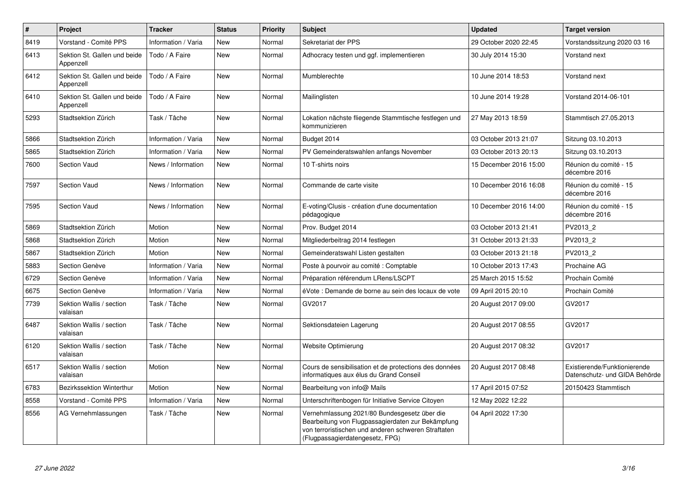| $\pmb{\#}$ | Project                                   | <b>Tracker</b>      | <b>Status</b> | <b>Priority</b> | <b>Subject</b>                                                                                                                                                                              | <b>Updated</b>         | <b>Target version</b>                                         |
|------------|-------------------------------------------|---------------------|---------------|-----------------|---------------------------------------------------------------------------------------------------------------------------------------------------------------------------------------------|------------------------|---------------------------------------------------------------|
| 8419       | Vorstand - Comité PPS                     | Information / Varia | New           | Normal          | Sekretariat der PPS                                                                                                                                                                         | 29 October 2020 22:45  | Vorstandssitzung 2020 03 16                                   |
| 6413       | Sektion St. Gallen und beide<br>Appenzell | Todo / A Faire      | <b>New</b>    | Normal          | Adhocracy testen und ggf. implementieren                                                                                                                                                    | 30 July 2014 15:30     | Vorstand next                                                 |
| 6412       | Sektion St. Gallen und beide<br>Appenzell | Todo / A Faire      | New           | Normal          | Mumblerechte                                                                                                                                                                                | 10 June 2014 18:53     | Vorstand next                                                 |
| 6410       | Sektion St. Gallen und beide<br>Appenzell | Todo / A Faire      | New           | Normal          | Mailinglisten                                                                                                                                                                               | 10 June 2014 19:28     | Vorstand 2014-06-101                                          |
| 5293       | Stadtsektion Zürich                       | Task / Tâche        | New           | Normal          | Lokation nächste fliegende Stammtische festlegen und<br>kommunizieren                                                                                                                       | 27 May 2013 18:59      | Stammtisch 27.05.2013                                         |
| 5866       | Stadtsektion Zürich                       | Information / Varia | New           | Normal          | Budget 2014                                                                                                                                                                                 | 03 October 2013 21:07  | Sitzung 03.10.2013                                            |
| 5865       | Stadtsektion Zürich                       | Information / Varia | <b>New</b>    | Normal          | PV Gemeinderatswahlen anfangs November                                                                                                                                                      | 03 October 2013 20:13  | Sitzung 03.10.2013                                            |
| 7600       | <b>Section Vaud</b>                       | News / Information  | New           | Normal          | 10 T-shirts noirs                                                                                                                                                                           | 15 December 2016 15:00 | Réunion du comité - 15<br>décembre 2016                       |
| 7597       | <b>Section Vaud</b>                       | News / Information  | <b>New</b>    | Normal          | Commande de carte visite                                                                                                                                                                    | 10 December 2016 16:08 | Réunion du comité - 15<br>décembre 2016                       |
| 7595       | <b>Section Vaud</b>                       | News / Information  | <b>New</b>    | Normal          | E-voting/Clusis - création d'une documentation<br>pédagogique                                                                                                                               | 10 December 2016 14:00 | Réunion du comité - 15<br>décembre 2016                       |
| 5869       | Stadtsektion Zürich                       | Motion              | <b>New</b>    | Normal          | Prov. Budget 2014                                                                                                                                                                           | 03 October 2013 21:41  | PV2013 2                                                      |
| 5868       | Stadtsektion Zürich                       | Motion              | <b>New</b>    | Normal          | Mitgliederbeitrag 2014 festlegen                                                                                                                                                            | 31 October 2013 21:33  | PV2013_2                                                      |
| 5867       | Stadtsektion Zürich                       | Motion              | New           | Normal          | Gemeinderatswahl Listen gestalten                                                                                                                                                           | 03 October 2013 21:18  | PV2013 2                                                      |
| 5883       | Section Genève                            | Information / Varia | New           | Normal          | Poste à pourvoir au comité : Comptable                                                                                                                                                      | 10 October 2013 17:43  | Prochaine AG                                                  |
| 6729       | Section Genève                            | Information / Varia | New           | Normal          | Préparation référendum LRens/LSCPT                                                                                                                                                          | 25 March 2015 15:52    | Prochain Comité                                               |
| 6675       | Section Genève                            | Information / Varia | New           | Normal          | éVote : Demande de borne au sein des locaux de vote                                                                                                                                         | 09 April 2015 20:10    | Prochain Comité                                               |
| 7739       | Sektion Wallis / section<br>valaisan      | Task / Tâche        | <b>New</b>    | Normal          | GV2017                                                                                                                                                                                      | 20 August 2017 09:00   | GV2017                                                        |
| 6487       | Sektion Wallis / section<br>valaisan      | Task / Tâche        | <b>New</b>    | Normal          | Sektionsdateien Lagerung                                                                                                                                                                    | 20 August 2017 08:55   | GV2017                                                        |
| 6120       | Sektion Wallis / section<br>valaisan      | Task / Tâche        | New           | Normal          | <b>Website Optimierung</b>                                                                                                                                                                  | 20 August 2017 08:32   | GV2017                                                        |
| 6517       | Sektion Wallis / section<br>valaisan      | Motion              | <b>New</b>    | Normal          | Cours de sensibilisation et de protections des données<br>informatiques aux élus du Grand Conseil                                                                                           | 20 August 2017 08:48   | Existierende/Funktionierende<br>Datenschutz- und GIDA Behörde |
| 6783       | Bezirkssektion Winterthur                 | Motion              | New           | Normal          | Bearbeitung von info@ Mails                                                                                                                                                                 | 17 April 2015 07:52    | 20150423 Stammtisch                                           |
| 8558       | Vorstand - Comité PPS                     | Information / Varia | New           | Normal          | Unterschriftenbogen für Initiative Service Citoyen                                                                                                                                          | 12 May 2022 12:22      |                                                               |
| 8556       | AG Vernehmlassungen                       | Task / Tâche        | <b>New</b>    | Normal          | Vernehmlassung 2021/80 Bundesgesetz über die<br>Bearbeitung von Flugpassagierdaten zur Bekämpfung<br>von terroristischen und anderen schweren Straftaten<br>(Flugpassagierdatengesetz, FPG) | 04 April 2022 17:30    |                                                               |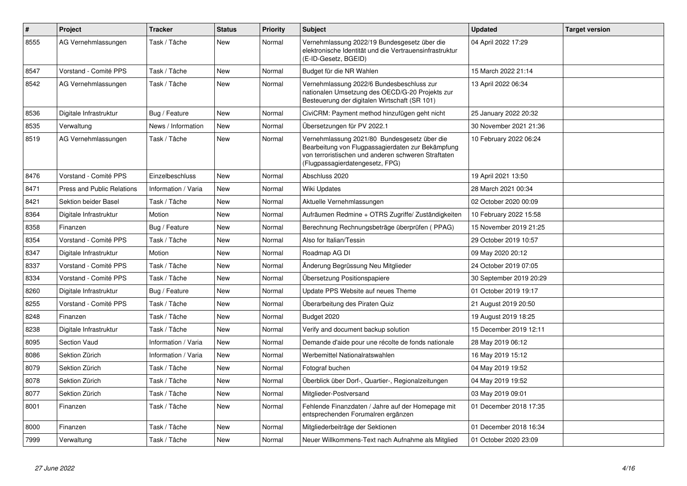| $\#$ | Project                    | <b>Tracker</b>      | <b>Status</b> | <b>Priority</b> | <b>Subject</b>                                                                                                                                                                              | <b>Updated</b>          | <b>Target version</b> |
|------|----------------------------|---------------------|---------------|-----------------|---------------------------------------------------------------------------------------------------------------------------------------------------------------------------------------------|-------------------------|-----------------------|
| 8555 | AG Vernehmlassungen        | Task / Tâche        | <b>New</b>    | Normal          | Vernehmlassung 2022/19 Bundesgesetz über die<br>elektronische Identität und die Vertrauensinfrastruktur<br>(E-ID-Gesetz, BGEID)                                                             | 04 April 2022 17:29     |                       |
| 8547 | Vorstand - Comité PPS      | Task / Tâche        | <b>New</b>    | Normal          | Budget für die NR Wahlen                                                                                                                                                                    | 15 March 2022 21:14     |                       |
| 8542 | AG Vernehmlassungen        | Task / Tâche        | <b>New</b>    | Normal          | Vernehmlassung 2022/6 Bundesbeschluss zur<br>nationalen Umsetzung des OECD/G-20 Projekts zur<br>Besteuerung der digitalen Wirtschaft (SR 101)                                               | 13 April 2022 06:34     |                       |
| 8536 | Digitale Infrastruktur     | Bug / Feature       | <b>New</b>    | Normal          | CiviCRM: Payment method hinzufügen geht nicht                                                                                                                                               | 25 January 2022 20:32   |                       |
| 8535 | Verwaltung                 | News / Information  | New           | Normal          | Übersetzungen für PV 2022.1                                                                                                                                                                 | 30 November 2021 21:36  |                       |
| 8519 | AG Vernehmlassungen        | Task / Tâche        | New           | Normal          | Vernehmlassung 2021/80 Bundesgesetz über die<br>Bearbeitung von Flugpassagierdaten zur Bekämpfung<br>von terroristischen und anderen schweren Straftaten<br>(Flugpassagierdatengesetz, FPG) | 10 February 2022 06:24  |                       |
| 8476 | Vorstand - Comité PPS      | Einzelbeschluss     | <b>New</b>    | Normal          | Abschluss 2020                                                                                                                                                                              | 19 April 2021 13:50     |                       |
| 8471 | Press and Public Relations | Information / Varia | <b>New</b>    | Normal          | Wiki Updates                                                                                                                                                                                | 28 March 2021 00:34     |                       |
| 8421 | Sektion beider Basel       | Task / Tâche        | <b>New</b>    | Normal          | Aktuelle Vernehmlassungen                                                                                                                                                                   | 02 October 2020 00:09   |                       |
| 8364 | Digitale Infrastruktur     | Motion              | <b>New</b>    | Normal          | Aufräumen Redmine + OTRS Zugriffe/ Zuständigkeiten                                                                                                                                          | 10 February 2022 15:58  |                       |
| 8358 | Finanzen                   | Bug / Feature       | New           | Normal          | Berechnung Rechnungsbeträge überprüfen (PPAG)                                                                                                                                               | 15 November 2019 21:25  |                       |
| 8354 | Vorstand - Comité PPS      | Task / Tâche        | <b>New</b>    | Normal          | Also for Italian/Tessin                                                                                                                                                                     | 29 October 2019 10:57   |                       |
| 8347 | Digitale Infrastruktur     | Motion              | <b>New</b>    | Normal          | Roadmap AG DI                                                                                                                                                                               | 09 May 2020 20:12       |                       |
| 8337 | Vorstand - Comité PPS      | Task / Tâche        | New           | Normal          | Änderung Begrüssung Neu Mitglieder                                                                                                                                                          | 24 October 2019 07:05   |                       |
| 8334 | Vorstand - Comité PPS      | Task / Tâche        | New           | Normal          | Übersetzung Positionspapiere                                                                                                                                                                | 30 September 2019 20:29 |                       |
| 8260 | Digitale Infrastruktur     | Bug / Feature       | <b>New</b>    | Normal          | Update PPS Website auf neues Theme                                                                                                                                                          | 01 October 2019 19:17   |                       |
| 8255 | Vorstand - Comité PPS      | Task / Tâche        | New           | Normal          | Überarbeitung des Piraten Quiz                                                                                                                                                              | 21 August 2019 20:50    |                       |
| 8248 | Finanzen                   | Task / Tâche        | New           | Normal          | Budget 2020                                                                                                                                                                                 | 19 August 2019 18:25    |                       |
| 8238 | Digitale Infrastruktur     | Task / Tâche        | New           | Normal          | Verify and document backup solution                                                                                                                                                         | 15 December 2019 12:11  |                       |
| 8095 | Section Vaud               | Information / Varia | <b>New</b>    | Normal          | Demande d'aide pour une récolte de fonds nationale                                                                                                                                          | 28 May 2019 06:12       |                       |
| 8086 | Sektion Zürich             | Information / Varia | <b>New</b>    | Normal          | Werbemittel Nationalratswahlen                                                                                                                                                              | 16 May 2019 15:12       |                       |
| 8079 | Sektion Zürich             | Task / Tâche        | <b>New</b>    | Normal          | Fotograf buchen                                                                                                                                                                             | 04 May 2019 19:52       |                       |
| 8078 | Sektion Zürich             | Task / Tâche        | New           | Normal          | Überblick über Dorf-, Quartier-, Regionalzeitungen                                                                                                                                          | 04 May 2019 19:52       |                       |
| 8077 | Sektion Zürich             | Task / Tâche        | <b>New</b>    | Normal          | Mitglieder-Postversand                                                                                                                                                                      | 03 May 2019 09:01       |                       |
| 8001 | Finanzen                   | Task / Tâche        | <b>New</b>    | Normal          | Fehlende Finanzdaten / Jahre auf der Homepage mit<br>entsprechenden Forumalren ergänzen                                                                                                     | 01 December 2018 17:35  |                       |
| 8000 | Finanzen                   | Task / Tâche        | New           | Normal          | Mitgliederbeiträge der Sektionen                                                                                                                                                            | 01 December 2018 16:34  |                       |
| 7999 | Verwaltung                 | Task / Tâche        | <b>New</b>    | Normal          | Neuer Willkommens-Text nach Aufnahme als Mitglied                                                                                                                                           | 01 October 2020 23:09   |                       |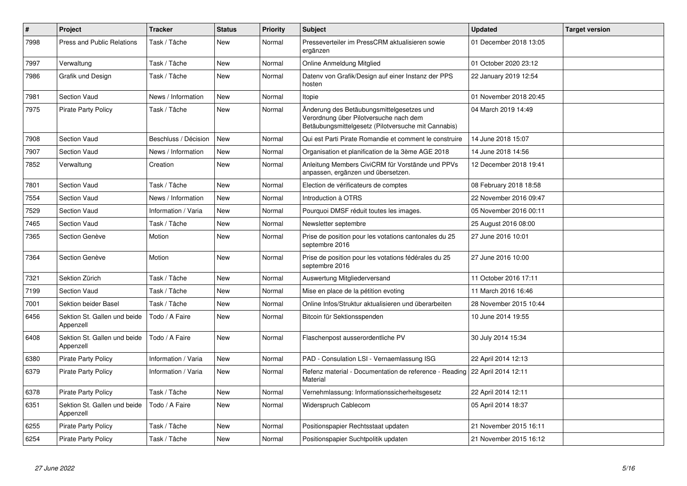| $\pmb{\#}$ | Project                                   | <b>Tracker</b>       | <b>Status</b> | <b>Priority</b> | <b>Subject</b>                                                                                                                             | <b>Updated</b>         | <b>Target version</b> |
|------------|-------------------------------------------|----------------------|---------------|-----------------|--------------------------------------------------------------------------------------------------------------------------------------------|------------------------|-----------------------|
| 7998       | Press and Public Relations                | Task / Tâche         | <b>New</b>    | Normal          | Presseverteiler im PressCRM aktualisieren sowie<br>ergänzen                                                                                | 01 December 2018 13:05 |                       |
| 7997       | Verwaltung                                | Task / Tâche         | <b>New</b>    | Normal          | Online Anmeldung Mitglied                                                                                                                  | 01 October 2020 23:12  |                       |
| 7986       | Grafik und Design                         | Task / Tâche         | New           | Normal          | Dateny von Grafik/Design auf einer Instanz der PPS<br>hosten                                                                               | 22 January 2019 12:54  |                       |
| 7981       | Section Vaud                              | News / Information   | <b>New</b>    | Normal          | Itopie                                                                                                                                     | 01 November 2018 20:45 |                       |
| 7975       | <b>Pirate Party Policy</b>                | Task / Tâche         | New           | Normal          | Änderung des Betäubungsmittelgesetzes und<br>Verordnung über Pilotversuche nach dem<br>Betäubungsmittelgesetz (Pilotversuche mit Cannabis) | 04 March 2019 14:49    |                       |
| 7908       | <b>Section Vaud</b>                       | Beschluss / Décision | <b>New</b>    | Normal          | Qui est Parti Pirate Romandie et comment le construire                                                                                     | 14 June 2018 15:07     |                       |
| 7907       | <b>Section Vaud</b>                       | News / Information   | <b>New</b>    | Normal          | Organisation et planification de la 3ème AGE 2018                                                                                          | 14 June 2018 14:56     |                       |
| 7852       | Verwaltung                                | Creation             | <b>New</b>    | Normal          | Anleitung Members CiviCRM für Vorstände und PPVs<br>anpassen, ergänzen und übersetzen.                                                     | 12 December 2018 19:41 |                       |
| 7801       | <b>Section Vaud</b>                       | Task / Tâche         | <b>New</b>    | Normal          | Election de vérificateurs de comptes                                                                                                       | 08 February 2018 18:58 |                       |
| 7554       | <b>Section Vaud</b>                       | News / Information   | <b>New</b>    | Normal          | Introduction à OTRS                                                                                                                        | 22 November 2016 09:47 |                       |
| 7529       | <b>Section Vaud</b>                       | Information / Varia  | <b>New</b>    | Normal          | Pourquoi DMSF réduit toutes les images.                                                                                                    | 05 November 2016 00:11 |                       |
| 7465       | Section Vaud                              | Task / Tâche         | New           | Normal          | Newsletter septembre                                                                                                                       | 25 August 2016 08:00   |                       |
| 7365       | Section Genève                            | Motion               | <b>New</b>    | Normal          | Prise de position pour les votations cantonales du 25<br>septembre 2016                                                                    | 27 June 2016 10:01     |                       |
| 7364       | Section Genève                            | Motion               | <b>New</b>    | Normal          | Prise de position pour les votations fédérales du 25<br>septembre 2016                                                                     | 27 June 2016 10:00     |                       |
| 7321       | Sektion Zürich                            | Task / Tâche         | <b>New</b>    | Normal          | Auswertung Mitgliederversand                                                                                                               | 11 October 2016 17:11  |                       |
| 7199       | <b>Section Vaud</b>                       | Task / Tâche         | <b>New</b>    | Normal          | Mise en place de la pétition evoting                                                                                                       | 11 March 2016 16:46    |                       |
| 7001       | Sektion beider Basel                      | Task / Tâche         | <b>New</b>    | Normal          | Online Infos/Struktur aktualisieren und überarbeiten                                                                                       | 28 November 2015 10:44 |                       |
| 6456       | Sektion St. Gallen und beide<br>Appenzell | Todo / A Faire       | <b>New</b>    | Normal          | Bitcoin für Sektionsspenden                                                                                                                | 10 June 2014 19:55     |                       |
| 6408       | Sektion St. Gallen und beide<br>Appenzell | Todo / A Faire       | <b>New</b>    | Normal          | Flaschenpost ausserordentliche PV                                                                                                          | 30 July 2014 15:34     |                       |
| 6380       | <b>Pirate Party Policy</b>                | Information / Varia  | <b>New</b>    | Normal          | PAD - Consulation LSI - Vernaemlassung ISG                                                                                                 | 22 April 2014 12:13    |                       |
| 6379       | <b>Pirate Party Policy</b>                | Information / Varia  | <b>New</b>    | Normal          | Refenz material - Documentation de reference - Reading<br>Material                                                                         | 22 April 2014 12:11    |                       |
| 6378       | <b>Pirate Party Policy</b>                | Task / Tâche         | <b>New</b>    | Normal          | Vernehmlassung: Informationssicherheitsgesetz                                                                                              | 22 April 2014 12:11    |                       |
| 6351       | Sektion St. Gallen und beide<br>Appenzell | Todo / A Faire       | <b>New</b>    | Normal          | Widerspruch Cablecom                                                                                                                       | 05 April 2014 18:37    |                       |
| 6255       | <b>Pirate Party Policy</b>                | Task / Tâche         | <b>New</b>    | Normal          | Positionspapier Rechtsstaat updaten                                                                                                        | 21 November 2015 16:11 |                       |
| 6254       | <b>Pirate Party Policy</b>                | Task / Tâche         | <b>New</b>    | Normal          | Positionspapier Suchtpolitik updaten                                                                                                       | 21 November 2015 16:12 |                       |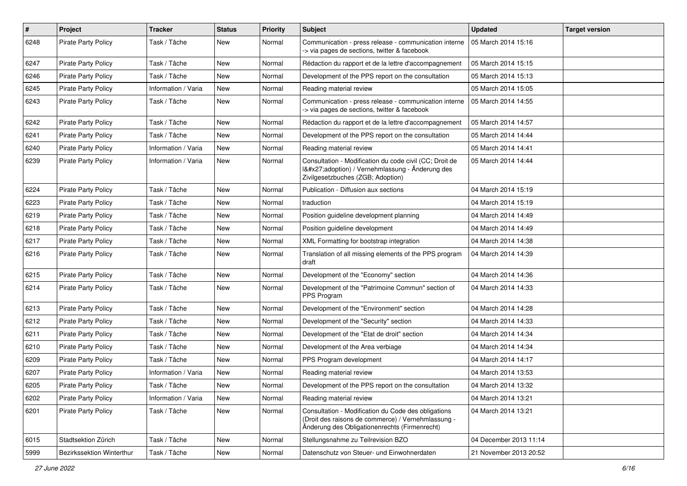| $\sharp$ | Project                    | <b>Tracker</b>      | <b>Status</b> | <b>Priority</b> | Subject                                                                                                                                                    | <b>Updated</b>         | <b>Target version</b> |
|----------|----------------------------|---------------------|---------------|-----------------|------------------------------------------------------------------------------------------------------------------------------------------------------------|------------------------|-----------------------|
| 6248     | <b>Pirate Party Policy</b> | Task / Tâche        | New           | Normal          | Communication - press release - communication interne<br>-> via pages de sections, twitter & facebook                                                      | 05 March 2014 15:16    |                       |
| 6247     | <b>Pirate Party Policy</b> | Task / Tâche        | New           | Normal          | Rédaction du rapport et de la lettre d'accompagnement                                                                                                      | 05 March 2014 15:15    |                       |
| 6246     | <b>Pirate Party Policy</b> | Task / Tâche        | New           | Normal          | Development of the PPS report on the consultation                                                                                                          | 05 March 2014 15:13    |                       |
| 6245     | <b>Pirate Party Policy</b> | Information / Varia | New           | Normal          | Reading material review                                                                                                                                    | 05 March 2014 15:05    |                       |
| 6243     | <b>Pirate Party Policy</b> | Task / Tâche        | New           | Normal          | Communication - press release - communication interne<br>-> via pages de sections, twitter & facebook                                                      | 05 March 2014 14:55    |                       |
| 6242     | <b>Pirate Party Policy</b> | Task / Tâche        | New           | Normal          | Rédaction du rapport et de la lettre d'accompagnement                                                                                                      | 05 March 2014 14:57    |                       |
| 6241     | <b>Pirate Party Policy</b> | Task / Tâche        | New           | Normal          | Development of the PPS report on the consultation                                                                                                          | 05 March 2014 14:44    |                       |
| 6240     | <b>Pirate Party Policy</b> | Information / Varia | New           | Normal          | Reading material review                                                                                                                                    | 05 March 2014 14:41    |                       |
| 6239     | <b>Pirate Party Policy</b> | Information / Varia | New           | Normal          | Consultation - Modification du code civil (CC; Droit de<br>I'adoption) / Vernehmlassung - Änderung des<br>Zivilgesetzbuches (ZGB; Adoption)                | 05 March 2014 14:44    |                       |
| 6224     | <b>Pirate Party Policy</b> | Task / Tâche        | New           | Normal          | Publication - Diffusion aux sections                                                                                                                       | 04 March 2014 15:19    |                       |
| 6223     | <b>Pirate Party Policy</b> | Task / Tâche        | New           | Normal          | traduction                                                                                                                                                 | 04 March 2014 15:19    |                       |
| 6219     | <b>Pirate Party Policy</b> | Task / Tâche        | New           | Normal          | Position guideline development planning                                                                                                                    | 04 March 2014 14:49    |                       |
| 6218     | <b>Pirate Party Policy</b> | Task / Tâche        | New           | Normal          | Position guideline development                                                                                                                             | 04 March 2014 14:49    |                       |
| 6217     | <b>Pirate Party Policy</b> | Task / Tâche        | New           | Normal          | XML Formatting for bootstrap integration                                                                                                                   | 04 March 2014 14:38    |                       |
| 6216     | <b>Pirate Party Policy</b> | Task / Tâche        | New           | Normal          | Translation of all missing elements of the PPS program<br>draft                                                                                            | 04 March 2014 14:39    |                       |
| 6215     | <b>Pirate Party Policy</b> | Task / Tâche        | <b>New</b>    | Normal          | Development of the "Economy" section                                                                                                                       | 04 March 2014 14:36    |                       |
| 6214     | <b>Pirate Party Policy</b> | Task / Tâche        | New           | Normal          | Development of the "Patrimoine Commun" section of<br>PPS Program                                                                                           | 04 March 2014 14:33    |                       |
| 6213     | <b>Pirate Party Policy</b> | Task / Tâche        | New           | Normal          | Development of the "Environment" section                                                                                                                   | 04 March 2014 14:28    |                       |
| 6212     | <b>Pirate Party Policy</b> | Task / Tâche        | New           | Normal          | Development of the "Security" section                                                                                                                      | 04 March 2014 14:33    |                       |
| 6211     | <b>Pirate Party Policy</b> | Task / Tâche        | New           | Normal          | Development of the "Etat de droit" section                                                                                                                 | 04 March 2014 14:34    |                       |
| 6210     | <b>Pirate Party Policy</b> | Task / Tâche        | New           | Normal          | Development of the Area verbiage                                                                                                                           | 04 March 2014 14:34    |                       |
| 6209     | <b>Pirate Party Policy</b> | Task / Tâche        | New           | Normal          | PPS Program development                                                                                                                                    | 04 March 2014 14:17    |                       |
| 6207     | Pirate Party Policy        | Information / Varia | New           | Normal          | Reading material review                                                                                                                                    | 04 March 2014 13:53    |                       |
| 6205     | <b>Pirate Party Policy</b> | Task / Tâche        | New           | Normal          | Development of the PPS report on the consultation                                                                                                          | 04 March 2014 13:32    |                       |
| 6202     | Pirate Party Policy        | Information / Varia | New           | Normal          | Reading material review                                                                                                                                    | 04 March 2014 13:21    |                       |
| 6201     | <b>Pirate Party Policy</b> | Task / Tâche        | New           | Normal          | Consultation - Modification du Code des obligations<br>(Droit des raisons de commerce) / Vernehmlassung -<br>Änderung des Obligationenrechts (Firmenrecht) | 04 March 2014 13:21    |                       |
| 6015     | Stadtsektion Zürich        | Task / Tâche        | New           | Normal          | Stellungsnahme zu Teilrevision BZO                                                                                                                         | 04 December 2013 11:14 |                       |
| 5999     | Bezirkssektion Winterthur  | Task / Tâche        | New           | Normal          | Datenschutz von Steuer- und Einwohnerdaten                                                                                                                 | 21 November 2013 20:52 |                       |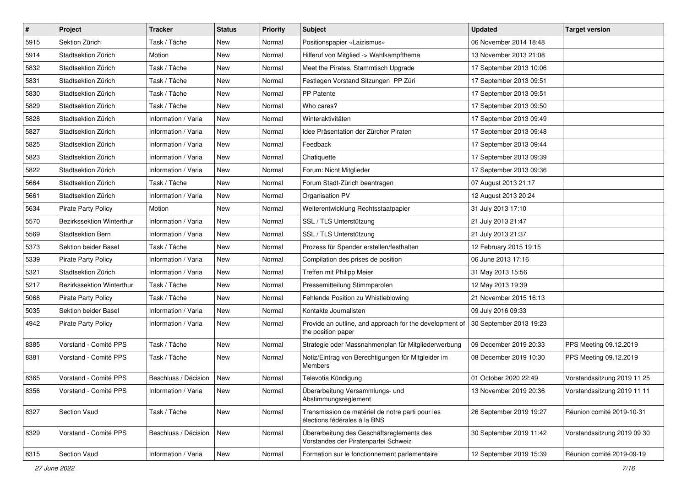| $\pmb{\#}$ | Project                    | <b>Tracker</b>       | <b>Status</b> | <b>Priority</b> | <b>Subject</b>                                                                    | <b>Updated</b>          | <b>Target version</b>       |
|------------|----------------------------|----------------------|---------------|-----------------|-----------------------------------------------------------------------------------|-------------------------|-----------------------------|
| 5915       | Sektion Zürich             | Task / Tâche         | New           | Normal          | Positionspapier «Laizismus»                                                       | 06 November 2014 18:48  |                             |
| 5914       | Stadtsektion Zürich        | Motion               | <b>New</b>    | Normal          | Hilferuf von Mitglied -> Wahlkampfthema                                           | 13 November 2013 21:08  |                             |
| 5832       | Stadtsektion Zürich        | Task / Tâche         | New           | Normal          | Meet the Pirates, Stammtisch Upgrade                                              | 17 September 2013 10:06 |                             |
| 5831       | Stadtsektion Zürich        | Task / Tâche         | New           | Normal          | Festlegen Vorstand Sitzungen PP Züri                                              | 17 September 2013 09:51 |                             |
| 5830       | Stadtsektion Zürich        | Task / Tâche         | <b>New</b>    | Normal          | PP Patente                                                                        | 17 September 2013 09:51 |                             |
| 5829       | Stadtsektion Zürich        | Task / Tâche         | New           | Normal          | Who cares?                                                                        | 17 September 2013 09:50 |                             |
| 5828       | Stadtsektion Zürich        | Information / Varia  | <b>New</b>    | Normal          | Winteraktivitäten                                                                 | 17 September 2013 09:49 |                             |
| 5827       | Stadtsektion Zürich        | Information / Varia  | <b>New</b>    | Normal          | Idee Präsentation der Zürcher Piraten                                             | 17 September 2013 09:48 |                             |
| 5825       | Stadtsektion Zürich        | Information / Varia  | New           | Normal          | Feedback                                                                          | 17 September 2013 09:44 |                             |
| 5823       | Stadtsektion Zürich        | Information / Varia  | <b>New</b>    | Normal          | Chatiquette                                                                       | 17 September 2013 09:39 |                             |
| 5822       | Stadtsektion Zürich        | Information / Varia  | New           | Normal          | Forum: Nicht Mitglieder                                                           | 17 September 2013 09:36 |                             |
| 5664       | Stadtsektion Zürich        | Task / Tâche         | <b>New</b>    | Normal          | Forum Stadt-Zürich beantragen                                                     | 07 August 2013 21:17    |                             |
| 5661       | Stadtsektion Zürich        | Information / Varia  | <b>New</b>    | Normal          | Organisation PV                                                                   | 12 August 2013 20:24    |                             |
| 5634       | <b>Pirate Party Policy</b> | Motion               | New           | Normal          | Weiterentwicklung Rechtsstaatpapier                                               | 31 July 2013 17:10      |                             |
| 5570       | Bezirkssektion Winterthur  | Information / Varia  | <b>New</b>    | Normal          | SSL / TLS Unterstützung                                                           | 21 July 2013 21:47      |                             |
| 5569       | <b>Stadtsektion Bern</b>   | Information / Varia  | New           | Normal          | SSL / TLS Unterstützung                                                           | 21 July 2013 21:37      |                             |
| 5373       | Sektion beider Basel       | Task / Tâche         | <b>New</b>    | Normal          | Prozess für Spender erstellen/festhalten                                          | 12 February 2015 19:15  |                             |
| 5339       | <b>Pirate Party Policy</b> | Information / Varia  | New           | Normal          | Compilation des prises de position                                                | 06 June 2013 17:16      |                             |
| 5321       | Stadtsektion Zürich        | Information / Varia  | New           | Normal          | Treffen mit Philipp Meier                                                         | 31 May 2013 15:56       |                             |
| 5217       | Bezirkssektion Winterthur  | Task / Tâche         | <b>New</b>    | Normal          | Pressemitteilung Stimmparolen                                                     | 12 May 2013 19:39       |                             |
| 5068       | <b>Pirate Party Policy</b> | Task / Tâche         | New           | Normal          | Fehlende Position zu Whistleblowing                                               | 21 November 2015 16:13  |                             |
| 5035       | Sektion beider Basel       | Information / Varia  | <b>New</b>    | Normal          | Kontakte Journalisten                                                             | 09 July 2016 09:33      |                             |
| 4942       | Pirate Party Policy        | Information / Varia  | New           | Normal          | Provide an outline, and approach for the development of<br>the position paper     | 30 September 2013 19:23 |                             |
| 8385       | Vorstand - Comité PPS      | Task / Tâche         | <b>New</b>    | Normal          | Strategie oder Massnahmenplan für Mitgliederwerbung                               | 09 December 2019 20:33  | PPS Meeting 09.12.2019      |
| 8381       | Vorstand - Comité PPS      | Task / Tâche         | <b>New</b>    | Normal          | Notiz/Eintrag von Berechtigungen für Mitgleider im<br><b>Members</b>              | 08 December 2019 10:30  | PPS Meeting 09.12.2019      |
| 8365       | Vorstand - Comité PPS      | Beschluss / Décision | <b>New</b>    | Normal          | Televotia Kündigung                                                               | 01 October 2020 22:49   | Vorstandssitzung 2019 11 25 |
| 8356       | Vorstand - Comité PPS      | Information / Varia  | New           | Normal          | Überarbeitung Versammlungs- und<br>Abstimmungsreglement                           | 13 November 2019 20:36  | Vorstandssitzung 2019 11 11 |
| 8327       | Section Vaud               | Task / Tâche         | New           | Normal          | Transmission de matériel de notre parti pour les<br>élections fédérales à la BNS  | 26 September 2019 19:27 | Réunion comité 2019-10-31   |
| 8329       | Vorstand - Comité PPS      | Beschluss / Décision | New           | Normal          | Überarbeitung des Geschäftsreglements des<br>Vorstandes der Piratenpartei Schweiz | 30 September 2019 11:42 | Vorstandssitzung 2019 09 30 |
| 8315       | Section Vaud               | Information / Varia  | New           | Normal          | Formation sur le fonctionnement parlementaire                                     | 12 September 2019 15:39 | Réunion comité 2019-09-19   |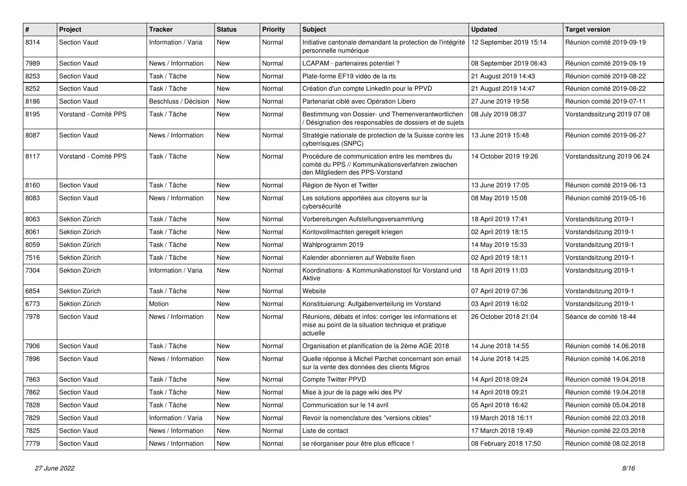| #    | Project               | <b>Tracker</b>       | <b>Status</b> | <b>Priority</b> | <b>Subject</b>                                                                                                                           | <b>Updated</b>          | <b>Target version</b>       |
|------|-----------------------|----------------------|---------------|-----------------|------------------------------------------------------------------------------------------------------------------------------------------|-------------------------|-----------------------------|
| 8314 | Section Vaud          | Information / Varia  | New           | Normal          | Initiative cantonale demandant la protection de l'intégrité<br>personnelle numérique                                                     | 12 September 2019 15:14 | Réunion comité 2019-09-19   |
| 7989 | Section Vaud          | News / Information   | New           | Normal          | LCAPAM - partenaires potentiel?                                                                                                          | 08 September 2019 06:43 | Réunion comité 2019-09-19   |
| 8253 | <b>Section Vaud</b>   | Task / Tâche         | <b>New</b>    | Normal          | Plate-forme EF19 vidéo de la rts                                                                                                         | 21 August 2019 14:43    | Réunion comité 2019-08-22   |
| 8252 | Section Vaud          | Task / Tâche         | <b>New</b>    | Normal          | Création d'un compte LinkedIn pour le PPVD                                                                                               | 21 August 2019 14:47    | Réunion comité 2019-08-22   |
| 8186 | <b>Section Vaud</b>   | Beschluss / Décision | <b>New</b>    | Normal          | Partenariat ciblé avec Opération Libero                                                                                                  | 27 June 2019 19:58      | Réunion comité 2019-07-11   |
| 8195 | Vorstand - Comité PPS | Task / Tâche         | <b>New</b>    | Normal          | Bestimmung von Dossier- und Themenverantwortlichen<br>Désignation des responsables de dossiers et de sujets                              | 08 July 2019 08:37      | Vorstandssitzung 2019 07 08 |
| 8087 | Section Vaud          | News / Information   | <b>New</b>    | Normal          | Stratégie nationale de protection de la Suisse contre les<br>cyberrisques (SNPC)                                                         | 13 June 2019 15:48      | Réunion comité 2019-06-27   |
| 8117 | Vorstand - Comité PPS | Task / Tâche         | <b>New</b>    | Normal          | Procédure de communication entre les membres du<br>comité du PPS // Kommunikationsverfahren zwischen<br>den Mitgliedern des PPS-Vorstand | 14 October 2019 19:26   | Vorstandssitzung 2019 06 24 |
| 8160 | <b>Section Vaud</b>   | Task / Tâche         | <b>New</b>    | Normal          | Région de Nyon et Twitter                                                                                                                | 13 June 2019 17:05      | Réunion comité 2019-06-13   |
| 8083 | Section Vaud          | News / Information   | <b>New</b>    | Normal          | Les solutions apportées aux citoyens sur la<br>cybersécurité                                                                             | 08 May 2019 15:08       | Réunion comité 2019-05-16   |
| 8063 | Sektion Zürich        | Task / Tâche         | <b>New</b>    | Normal          | Vorbereitungen Aufstellungsversammlung                                                                                                   | 18 April 2019 17:41     | Vorstandsitzung 2019-1      |
| 8061 | Sektion Zürich        | Task / Tâche         | New           | Normal          | Kontovollmachten geregelt kriegen                                                                                                        | 02 April 2019 18:15     | Vorstandsitzung 2019-1      |
| 8059 | Sektion Zürich        | Task / Tâche         | <b>New</b>    | Normal          | Wahlprogramm 2019                                                                                                                        | 14 May 2019 15:33       | Vorstandsitzung 2019-1      |
| 7516 | Sektion Zürich        | Task / Tâche         | <b>New</b>    | Normal          | Kalender abonnieren auf Website fixen                                                                                                    | 02 April 2019 18:11     | Vorstandsitzung 2019-1      |
| 7304 | Sektion Zürich        | Information / Varia  | New           | Normal          | Koordinations- & Kommunikationstool für Vorstand und<br>Aktive                                                                           | 18 April 2019 11:03     | Vorstandsitzung 2019-1      |
| 6854 | Sektion Zürich        | Task / Tâche         | <b>New</b>    | Normal          | Website                                                                                                                                  | 07 April 2019 07:36     | Vorstandsitzung 2019-1      |
| 6773 | Sektion Zürich        | Motion               | <b>New</b>    | Normal          | Konstituierung: Aufgabenverteilung im Vorstand                                                                                           | 03 April 2019 16:02     | Vorstandsitzung 2019-1      |
| 7978 | Section Vaud          | News / Information   | <b>New</b>    | Normal          | Réunions, débats et infos: corriger les informations et<br>mise au point de la situation technique et pratique<br>actuelle               | 26 October 2018 21:04   | Séance de comité 18-44      |
| 7906 | <b>Section Vaud</b>   | Task / Tâche         | <b>New</b>    | Normal          | Organisation et planification de la 2ème AGE 2018                                                                                        | 14 June 2018 14:55      | Réunion comité 14.06.2018   |
| 7896 | <b>Section Vaud</b>   | News / Information   | <b>New</b>    | Normal          | Quelle réponse à Michel Parchet concernant son email<br>sur la vente des données des clients Migros                                      | 14 June 2018 14:25      | Réunion comité 14.06.2018   |
| 7863 | Section Vaud          | Task / Tâche         | <b>New</b>    | Normal          | <b>Compte Twitter PPVD</b>                                                                                                               | 14 April 2018 09:24     | Réunion comité 19.04.2018   |
| 7862 | Section Vaud          | Task / Tâche         | <b>New</b>    | Normal          | Mise à jour de la page wiki des PV                                                                                                       | 14 April 2018 09:21     | Réunion comité 19.04.2018   |
| 7828 | <b>Section Vaud</b>   | Task / Tâche         | <b>New</b>    | Normal          | Communication sur le 14 avril                                                                                                            | 05 April 2018 16:42     | Réunion comité 05.04.2018   |
| 7829 | <b>Section Vaud</b>   | Information / Varia  | New           | Normal          | Revoir la nomenclature des "versions cibles"                                                                                             | 19 March 2018 16:11     | Réunion comité 22.03.2018   |
| 7825 | <b>Section Vaud</b>   | News / Information   | <b>New</b>    | Normal          | Liste de contact                                                                                                                         | 17 March 2018 19:49     | Réunion comité 22.03.2018   |
| 7779 | <b>Section Vaud</b>   | News / Information   | <b>New</b>    | Normal          | se réorganiser pour être plus efficace !                                                                                                 | 08 February 2018 17:50  | Réunion comité 08.02.2018   |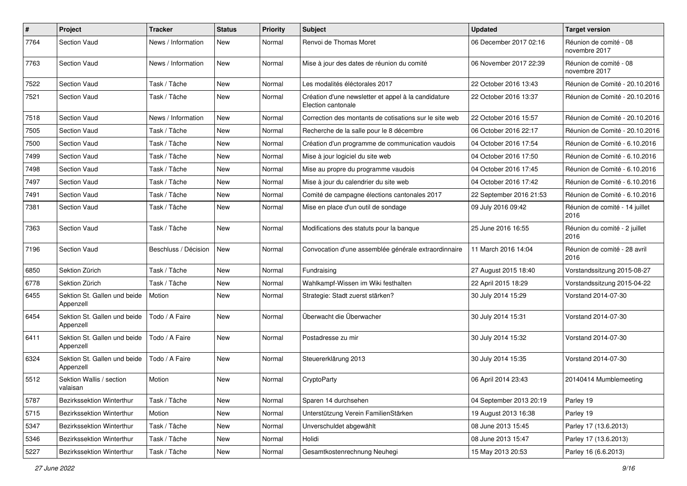| #    | Project                                   | <b>Tracker</b>       | <b>Status</b> | <b>Priority</b> | <b>Subject</b>                                                            | <b>Updated</b>          | <b>Target version</b>                   |
|------|-------------------------------------------|----------------------|---------------|-----------------|---------------------------------------------------------------------------|-------------------------|-----------------------------------------|
| 7764 | <b>Section Vaud</b>                       | News / Information   | New           | Normal          | Renvoi de Thomas Moret                                                    | 06 December 2017 02:16  | Réunion de comité - 08<br>novembre 2017 |
| 7763 | <b>Section Vaud</b>                       | News / Information   | New           | Normal          | Mise à jour des dates de réunion du comité                                | 06 November 2017 22:39  | Réunion de comité - 08<br>novembre 2017 |
| 7522 | <b>Section Vaud</b>                       | Task / Tâche         | New           | Normal          | Les modalités éléctorales 2017                                            | 22 October 2016 13:43   | Réunion de Comité - 20.10.2016          |
| 7521 | <b>Section Vaud</b>                       | Task / Tâche         | New           | Normal          | Création d'une newsletter et appel à la candidature<br>Election cantonale | 22 October 2016 13:37   | Réunion de Comité - 20.10.2016          |
| 7518 | Section Vaud                              | News / Information   | New           | Normal          | Correction des montants de cotisations sur le site web                    | 22 October 2016 15:57   | Réunion de Comité - 20.10.2016          |
| 7505 | <b>Section Vaud</b>                       | Task / Tâche         | New           | Normal          | Recherche de la salle pour le 8 décembre                                  | 06 October 2016 22:17   | Réunion de Comité - 20.10.2016          |
| 7500 | <b>Section Vaud</b>                       | Task / Tâche         | New           | Normal          | Création d'un programme de communication vaudois                          | 04 October 2016 17:54   | Réunion de Comité - 6.10.2016           |
| 7499 | <b>Section Vaud</b>                       | Task / Tâche         | New           | Normal          | Mise à jour logiciel du site web                                          | 04 October 2016 17:50   | Réunion de Comité - 6.10.2016           |
| 7498 | <b>Section Vaud</b>                       | Task / Tâche         | New           | Normal          | Mise au propre du programme vaudois                                       | 04 October 2016 17:45   | Réunion de Comité - 6.10.2016           |
| 7497 | <b>Section Vaud</b>                       | Task / Tâche         | New           | Normal          | Mise à jour du calendrier du site web                                     | 04 October 2016 17:42   | Réunion de Comité - 6.10.2016           |
| 7491 | <b>Section Vaud</b>                       | Task / Tâche         | New           | Normal          | Comité de campagne élections cantonales 2017                              | 22 September 2016 21:53 | Réunion de Comité - 6.10.2016           |
| 7381 | <b>Section Vaud</b>                       | Task / Tâche         | New           | Normal          | Mise en place d'un outil de sondage                                       | 09 July 2016 09:42      | Réunion de comité - 14 juillet<br>2016  |
| 7363 | <b>Section Vaud</b>                       | Task / Tâche         | New           | Normal          | Modifications des statuts pour la banque                                  | 25 June 2016 16:55      | Réunion du comité - 2 juillet<br>2016   |
| 7196 | <b>Section Vaud</b>                       | Beschluss / Décision | New           | Normal          | Convocation d'une assemblée générale extraordinnaire                      | 11 March 2016 14:04     | Réunion de comité - 28 avril<br>2016    |
| 6850 | Sektion Zürich                            | Task / Tâche         | New           | Normal          | Fundraising                                                               | 27 August 2015 18:40    | Vorstandssitzung 2015-08-27             |
| 6778 | Sektion Zürich                            | Task / Tâche         | New           | Normal          | Wahlkampf-Wissen im Wiki festhalten                                       | 22 April 2015 18:29     | Vorstandssitzung 2015-04-22             |
| 6455 | Sektion St. Gallen und beide<br>Appenzell | Motion               | New           | Normal          | Strategie: Stadt zuerst stärken?                                          | 30 July 2014 15:29      | Vorstand 2014-07-30                     |
| 6454 | Sektion St. Gallen und beide<br>Appenzell | Todo / A Faire       | New           | Normal          | Überwacht die Überwacher                                                  | 30 July 2014 15:31      | Vorstand 2014-07-30                     |
| 6411 | Sektion St. Gallen und beide<br>Appenzell | Todo / A Faire       | New           | Normal          | Postadresse zu mir                                                        | 30 July 2014 15:32      | Vorstand 2014-07-30                     |
| 6324 | Sektion St. Gallen und beide<br>Appenzell | Todo / A Faire       | New           | Normal          | Steuererklärung 2013                                                      | 30 July 2014 15:35      | Vorstand 2014-07-30                     |
| 5512 | Sektion Wallis / section<br>valaisan      | Motion               | New           | Normal          | CryptoParty                                                               | 06 April 2014 23:43     | 20140414 Mumblemeeting                  |
| 5787 | Bezirkssektion Winterthur                 | Task / Tâche         | New           | Normal          | Sparen 14 durchsehen                                                      | 04 September 2013 20:19 | Parley 19                               |
| 5715 | Bezirkssektion Winterthur                 | Motion               | New           | Normal          | Unterstützung Verein FamilienStärken                                      | 19 August 2013 16:38    | Parley 19                               |
| 5347 | Bezirkssektion Winterthur                 | Task / Tâche         | New           | Normal          | Unverschuldet abgewählt                                                   | 08 June 2013 15:45      | Parley 17 (13.6.2013)                   |
| 5346 | Bezirkssektion Winterthur                 | Task / Tâche         | New           | Normal          | Holidi                                                                    | 08 June 2013 15:47      | Parley 17 (13.6.2013)                   |
| 5227 | Bezirkssektion Winterthur                 | Task / Tâche         | New           | Normal          | Gesamtkostenrechnung Neuhegi                                              | 15 May 2013 20:53       | Parley 16 (6.6.2013)                    |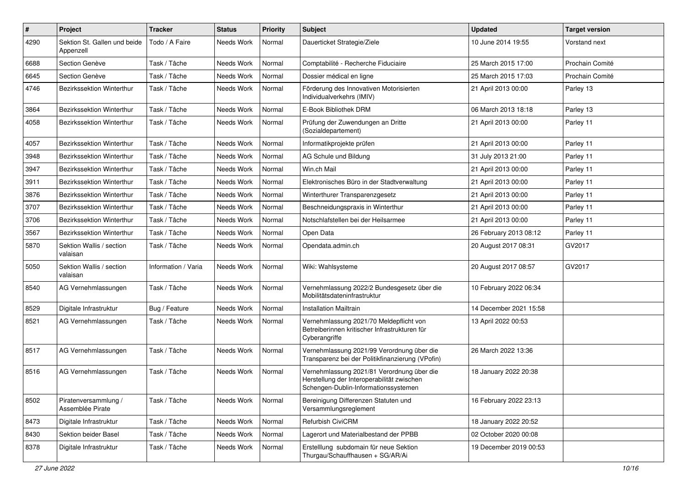| $\pmb{\#}$ | Project                                   | <b>Tracker</b>      | <b>Status</b> | <b>Priority</b> | Subject                                                                                                                          | <b>Updated</b>         | <b>Target version</b> |
|------------|-------------------------------------------|---------------------|---------------|-----------------|----------------------------------------------------------------------------------------------------------------------------------|------------------------|-----------------------|
| 4290       | Sektion St. Gallen und beide<br>Appenzell | Todo / A Faire      | Needs Work    | Normal          | Dauerticket Strategie/Ziele                                                                                                      | 10 June 2014 19:55     | Vorstand next         |
| 6688       | Section Genève                            | Task / Tâche        | Needs Work    | Normal          | Comptabilité - Recherche Fiduciaire                                                                                              | 25 March 2015 17:00    | Prochain Comité       |
| 6645       | Section Genève                            | Task / Tâche        | Needs Work    | Normal          | Dossier médical en ligne                                                                                                         | 25 March 2015 17:03    | Prochain Comité       |
| 4746       | Bezirkssektion Winterthur                 | Task / Tâche        | Needs Work    | Normal          | Förderung des Innovativen Motorisierten<br>Individualverkehrs (IMIV)                                                             | 21 April 2013 00:00    | Parley 13             |
| 3864       | Bezirkssektion Winterthur                 | Task / Tâche        | Needs Work    | Normal          | E-Book Bibliothek DRM                                                                                                            | 06 March 2013 18:18    | Parley 13             |
| 4058       | <b>Bezirkssektion Winterthur</b>          | Task / Tâche        | Needs Work    | Normal          | Prüfung der Zuwendungen an Dritte<br>(Sozialdepartement)                                                                         | 21 April 2013 00:00    | Parley 11             |
| 4057       | Bezirkssektion Winterthur                 | Task / Tâche        | Needs Work    | Normal          | Informatikprojekte prüfen                                                                                                        | 21 April 2013 00:00    | Parley 11             |
| 3948       | Bezirkssektion Winterthur                 | Task / Tâche        | Needs Work    | Normal          | AG Schule und Bildung                                                                                                            | 31 July 2013 21:00     | Parley 11             |
| 3947       | Bezirkssektion Winterthur                 | Task / Tâche        | Needs Work    | Normal          | Win.ch Mail                                                                                                                      | 21 April 2013 00:00    | Parley 11             |
| 3911       | Bezirkssektion Winterthur                 | Task / Tâche        | Needs Work    | Normal          | Elektronisches Büro in der Stadtverwaltung                                                                                       | 21 April 2013 00:00    | Parley 11             |
| 3876       | <b>Bezirkssektion Winterthur</b>          | Task / Tâche        | Needs Work    | Normal          | Winterthurer Transparenzgesetz                                                                                                   | 21 April 2013 00:00    | Parley 11             |
| 3707       | Bezirkssektion Winterthur                 | Task / Tâche        | Needs Work    | Normal          | Beschneidungspraxis in Winterthur                                                                                                | 21 April 2013 00:00    | Parley 11             |
| 3706       | Bezirkssektion Winterthur                 | Task / Tâche        | Needs Work    | Normal          | Notschlafstellen bei der Heilsarmee                                                                                              | 21 April 2013 00:00    | Parley 11             |
| 3567       | Bezirkssektion Winterthur                 | Task / Tâche        | Needs Work    | Normal          | Open Data                                                                                                                        | 26 February 2013 08:12 | Parley 11             |
| 5870       | Sektion Wallis / section<br>valaisan      | Task / Tâche        | Needs Work    | Normal          | Opendata.admin.ch                                                                                                                | 20 August 2017 08:31   | GV2017                |
| 5050       | Sektion Wallis / section<br>valaisan      | Information / Varia | Needs Work    | Normal          | Wiki: Wahlsysteme                                                                                                                | 20 August 2017 08:57   | GV2017                |
| 8540       | AG Vernehmlassungen                       | Task / Tâche        | Needs Work    | Normal          | Vernehmlassung 2022/2 Bundesgesetz über die<br>Mobilitätsdateninfrastruktur                                                      | 10 February 2022 06:34 |                       |
| 8529       | Digitale Infrastruktur                    | Bug / Feature       | Needs Work    | Normal          | <b>Installation Mailtrain</b>                                                                                                    | 14 December 2021 15:58 |                       |
| 8521       | AG Vernehmlassungen                       | Task / Tâche        | Needs Work    | Normal          | Vernehmlassung 2021/70 Meldepflicht von<br>Betreiberinnen kritischer Infrastrukturen für<br>Cyberangriffe                        | 13 April 2022 00:53    |                       |
| 8517       | AG Vernehmlassungen                       | Task / Tâche        | Needs Work    | Normal          | Vernehmlassung 2021/99 Verordnung über die<br>Transparenz bei der Politikfinanzierung (VPofin)                                   | 26 March 2022 13:36    |                       |
| 8516       | AG Vernehmlassungen                       | Task / Tâche        | Needs Work    | Normal          | Vernehmlassung 2021/81 Verordnung über die<br>Herstellung der Interoperabilität zwischen<br>Schengen-Dublin-Informationssystemen | 18 January 2022 20:38  |                       |
| 8502       | Piratenversammlung /<br>Assemblée Pirate  | Task / Tâche        | Needs Work    | Normal          | Bereinigung Differenzen Statuten und<br>Versammlungsreglement                                                                    | 16 February 2022 23:13 |                       |
| 8473       | Digitale Infrastruktur                    | Task / Tâche        | Needs Work    | Normal          | Refurbish CiviCRM                                                                                                                | 18 January 2022 20:52  |                       |
| 8430       | Sektion beider Basel                      | Task / Tâche        | Needs Work    | Normal          | Lagerort und Materialbestand der PPBB                                                                                            | 02 October 2020 00:08  |                       |
| 8378       | Digitale Infrastruktur                    | Task / Tâche        | Needs Work    | Normal          | Erstelllung subdomain für neue Sektion<br>Thurgau/Schauffhausen + SG/AR/Ai                                                       | 19 December 2019 00:53 |                       |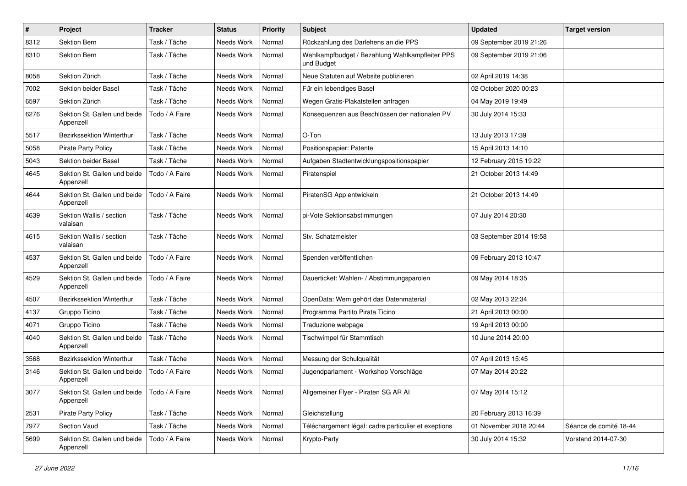| $\pmb{\#}$ | Project                                   | <b>Tracker</b> | <b>Status</b> | <b>Priority</b> | Subject                                                       | <b>Updated</b>          | <b>Target version</b>  |
|------------|-------------------------------------------|----------------|---------------|-----------------|---------------------------------------------------------------|-------------------------|------------------------|
| 8312       | Sektion Bern                              | Task / Tâche   | Needs Work    | Normal          | Rückzahlung des Darlehens an die PPS                          | 09 September 2019 21:26 |                        |
| 8310       | Sektion Bern                              | Task / Tâche   | Needs Work    | Normal          | Wahlkampfbudget / Bezahlung Wahlkampfleiter PPS<br>und Budget | 09 September 2019 21:06 |                        |
| 8058       | Sektion Zürich                            | Task / Tâche   | Needs Work    | Normal          | Neue Statuten auf Website publizieren                         | 02 April 2019 14:38     |                        |
| 7002       | Sektion beider Basel                      | Task / Tâche   | Needs Work    | Normal          | Für ein lebendiges Basel                                      | 02 October 2020 00:23   |                        |
| 6597       | Sektion Zürich                            | Task / Tâche   | Needs Work    | Normal          | Wegen Gratis-Plakatstellen anfragen                           | 04 May 2019 19:49       |                        |
| 6276       | Sektion St. Gallen und beide<br>Appenzell | Todo / A Faire | Needs Work    | Normal          | Konsequenzen aus Beschlüssen der nationalen PV                | 30 July 2014 15:33      |                        |
| 5517       | <b>Bezirkssektion Winterthur</b>          | Task / Tâche   | Needs Work    | Normal          | O-Ton                                                         | 13 July 2013 17:39      |                        |
| 5058       | <b>Pirate Party Policy</b>                | Task / Tâche   | Needs Work    | Normal          | Positionspapier: Patente                                      | 15 April 2013 14:10     |                        |
| 5043       | Sektion beider Basel                      | Task / Tâche   | Needs Work    | Normal          | Aufgaben Stadtentwicklungspositionspapier                     | 12 February 2015 19:22  |                        |
| 4645       | Sektion St. Gallen und beide<br>Appenzell | Todo / A Faire | Needs Work    | Normal          | Piratenspiel                                                  | 21 October 2013 14:49   |                        |
| 4644       | Sektion St. Gallen und beide<br>Appenzell | Todo / A Faire | Needs Work    | Normal          | PiratenSG App entwickeln                                      | 21 October 2013 14:49   |                        |
| 4639       | Sektion Wallis / section<br>valaisan      | Task / Tâche   | Needs Work    | Normal          | pi-Vote Sektionsabstimmungen                                  | 07 July 2014 20:30      |                        |
| 4615       | Sektion Wallis / section<br>valaisan      | Task / Tâche   | Needs Work    | Normal          | Stv. Schatzmeister                                            | 03 September 2014 19:58 |                        |
| 4537       | Sektion St. Gallen und beide<br>Appenzell | Todo / A Faire | Needs Work    | Normal          | Spenden veröffentlichen                                       | 09 February 2013 10:47  |                        |
| 4529       | Sektion St. Gallen und beide<br>Appenzell | Todo / A Faire | Needs Work    | Normal          | Dauerticket: Wahlen- / Abstimmungsparolen                     | 09 May 2014 18:35       |                        |
| 4507       | Bezirkssektion Winterthur                 | Task / Tâche   | Needs Work    | Normal          | OpenData: Wem gehört das Datenmaterial                        | 02 May 2013 22:34       |                        |
| 4137       | Gruppo Ticino                             | Task / Tâche   | Needs Work    | Normal          | Programma Partito Pirata Ticino                               | 21 April 2013 00:00     |                        |
| 4071       | Gruppo Ticino                             | Task / Tâche   | Needs Work    | Normal          | Traduzione webpage                                            | 19 April 2013 00:00     |                        |
| 4040       | Sektion St. Gallen und beide<br>Appenzell | Task / Tâche   | Needs Work    | Normal          | Tischwimpel für Stammtisch                                    | 10 June 2014 20:00      |                        |
| 3568       | Bezirkssektion Winterthur                 | Task / Tâche   | Needs Work    | Normal          | Messung der Schulqualität                                     | 07 April 2013 15:45     |                        |
| 3146       | Sektion St. Gallen und beide<br>Appenzell | Todo / A Faire | Needs Work    | Normal          | Jugendparlament - Workshop Vorschläge                         | 07 May 2014 20:22       |                        |
| 3077       | Sektion St. Gallen und beide<br>Appenzell | Todo / A Faire | Needs Work    | Normal          | Allgemeiner Flyer - Piraten SG AR AI                          | 07 May 2014 15:12       |                        |
| 2531       | Pirate Party Policy                       | Task / Tâche   | Needs Work    | Normal          | Gleichstellung                                                | 20 February 2013 16:39  |                        |
| 7977       | Section Vaud                              | Task / Tâche   | Needs Work    | Normal          | Téléchargement légal: cadre particulier et exeptions          | 01 November 2018 20:44  | Séance de comité 18-44 |
| 5699       | Sektion St. Gallen und beide<br>Appenzell | Todo / A Faire | Needs Work    | Normal          | Krypto-Party                                                  | 30 July 2014 15:32      | Vorstand 2014-07-30    |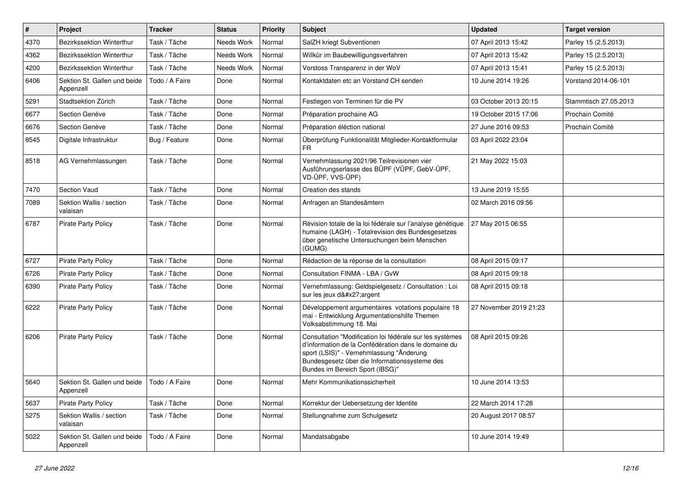| $\vert$ # | Project                                   | <b>Tracker</b> | <b>Status</b> | <b>Priority</b> | Subject                                                                                                                                                                                                                                          | <b>Updated</b>         | <b>Target version</b> |
|-----------|-------------------------------------------|----------------|---------------|-----------------|--------------------------------------------------------------------------------------------------------------------------------------------------------------------------------------------------------------------------------------------------|------------------------|-----------------------|
| 4370      | Bezirkssektion Winterthur                 | Task / Tâche   | Needs Work    | Normal          | SalZH kriegt Subventionen                                                                                                                                                                                                                        | 07 April 2013 15:42    | Parley 15 (2.5.2013)  |
| 4362      | Bezirkssektion Winterthur                 | Task / Tâche   | Needs Work    | Normal          | Willkür im Baubewilligungsverfahren                                                                                                                                                                                                              | 07 April 2013 15:42    | Parley 15 (2.5.2013)  |
| 4200      | Bezirkssektion Winterthur                 | Task / Tâche   | Needs Work    | Normal          | Vorstoss Transparenz in der WoV                                                                                                                                                                                                                  | 07 April 2013 15:41    | Parley 15 (2.5.2013)  |
| 6406      | Sektion St. Gallen und beide<br>Appenzell | Todo / A Faire | Done          | Normal          | Kontaktdaten etc an Vorstand CH senden                                                                                                                                                                                                           | 10 June 2014 19:26     | Vorstand 2014-06-101  |
| 5291      | Stadtsektion Zürich                       | Task / Tâche   | Done          | Normal          | Festlegen von Terminen für die PV                                                                                                                                                                                                                | 03 October 2013 20:15  | Stammtisch 27.05.2013 |
| 6677      | Section Genève                            | Task / Tâche   | Done          | Normal          | Préparation prochaine AG                                                                                                                                                                                                                         | 19 October 2015 17:06  | Prochain Comité       |
| 6676      | Section Genève                            | Task / Tâche   | Done          | Normal          | Préparation éléction national                                                                                                                                                                                                                    | 27 June 2016 09:53     | Prochain Comité       |
| 8545      | Digitale Infrastruktur                    | Bug / Feature  | Done          | Normal          | Überprüfung Funktionalität Mitglieder-Kontaktformular<br>FR                                                                                                                                                                                      | 03 April 2022 23:04    |                       |
| 8518      | AG Vernehmlassungen                       | Task / Tâche   | Done          | Normal          | Vernehmlassung 2021/96 Teilrevisionen vier<br>Ausführungserlasse des BÜPF (VÜPF, GebV-ÜPF,<br>VD-ÜPF, VVS-ÜPF)                                                                                                                                   | 21 May 2022 15:03      |                       |
| 7470      | Section Vaud                              | Task / Tâche   | Done          | Normal          | Creation des stands                                                                                                                                                                                                                              | 13 June 2019 15:55     |                       |
| 7089      | Sektion Wallis / section<br>valaisan      | Task / Tâche   | Done          | Normal          | Anfragen an Standesämtern                                                                                                                                                                                                                        | 02 March 2016 09:56    |                       |
| 6787      | <b>Pirate Party Policy</b>                | Task / Tâche   | Done          | Normal          | Révision totale de la loi fédérale sur l'analyse génétique<br>humaine (LAGH) - Totalrevision des Bundesgesetzes<br>über genetische Untersuchungen beim Menschen<br>(GUMG)                                                                        | 27 May 2015 06:55      |                       |
| 6727      | <b>Pirate Party Policy</b>                | Task / Tâche   | Done          | Normal          | Rédaction de la réponse de la consultation                                                                                                                                                                                                       | 08 April 2015 09:17    |                       |
| 6726      | Pirate Party Policy                       | Task / Tâche   | Done          | Normal          | Consultation FINMA - LBA / GvW                                                                                                                                                                                                                   | 08 April 2015 09:18    |                       |
| 6390      | <b>Pirate Party Policy</b>                | Task / Tâche   | Done          | Normal          | Vernehmlassung: Geldspielgesetz / Consultation : Loi<br>sur les jeux d'argent                                                                                                                                                                    | 08 April 2015 09:18    |                       |
| 6222      | <b>Pirate Party Policy</b>                | Task / Tâche   | Done          | Normal          | Développement argumentaires votations populaire 18<br>mai - Entwicklung Argumentationshilfe Themen<br>Volksabstimmung 18. Mai                                                                                                                    | 27 November 2019 21:23 |                       |
| 6206      | <b>Pirate Party Policy</b>                | Task / Tâche   | Done          | Normal          | Consultation "Modification loi fédérale sur les systèmes<br>d'information de la Confédération dans le domaine du<br>sport (LSIS)" - Vernehmlassung "Änderung<br>Bundesgesetz über die Informationssysteme des<br>Bundes im Bereich Sport (IBSG)" | 08 April 2015 09:26    |                       |
| 5640      | Sektion St. Gallen und beide<br>Appenzell | Todo / A Faire | Done          | Normal          | Mehr Kommunikationssicherheit                                                                                                                                                                                                                    | 10 June 2014 13:53     |                       |
| 5637      | Pirate Party Policy                       | Task / Tâche   | Done          | Normal          | Korrektur der Uebersetzung der Identite                                                                                                                                                                                                          | 22 March 2014 17:28    |                       |
| 5275      | Sektion Wallis / section<br>valaisan      | Task / Tâche   | Done          | Normal          | Stellungnahme zum Schulgesetz                                                                                                                                                                                                                    | 20 August 2017 08:57   |                       |
| 5022      | Sektion St. Gallen und beide<br>Appenzell | Todo / A Faire | Done          | Normal          | Mandatsabgabe                                                                                                                                                                                                                                    | 10 June 2014 19:49     |                       |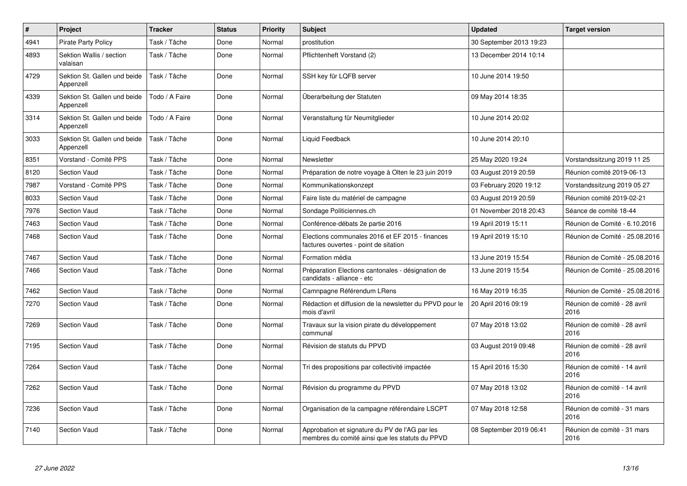| $\vert$ # | Project                                   | <b>Tracker</b> | <b>Status</b> | <b>Priority</b> | <b>Subject</b>                                                                                    | <b>Updated</b>          | <b>Target version</b>                |
|-----------|-------------------------------------------|----------------|---------------|-----------------|---------------------------------------------------------------------------------------------------|-------------------------|--------------------------------------|
| 4941      | <b>Pirate Party Policy</b>                | Task / Tâche   | Done          | Normal          | prostitution                                                                                      | 30 September 2013 19:23 |                                      |
| 4893      | Sektion Wallis / section<br>valaisan      | Task / Tâche   | Done          | Normal          | Pflichtenheft Vorstand (2)                                                                        | 13 December 2014 10:14  |                                      |
| 4729      | Sektion St. Gallen und beide<br>Appenzell | Task / Tâche   | Done          | Normal          | SSH key für LQFB server                                                                           | 10 June 2014 19:50      |                                      |
| 4339      | Sektion St. Gallen und beide<br>Appenzell | Todo / A Faire | Done          | Normal          | Überarbeitung der Statuten                                                                        | 09 May 2014 18:35       |                                      |
| 3314      | Sektion St. Gallen und beide<br>Appenzell | Todo / A Faire | Done          | Normal          | Veranstaltung für Neumitglieder                                                                   | 10 June 2014 20:02      |                                      |
| 3033      | Sektion St. Gallen und beide<br>Appenzell | Task / Tâche   | Done          | Normal          | Liquid Feedback                                                                                   | 10 June 2014 20:10      |                                      |
| 8351      | Vorstand - Comité PPS                     | Task / Tâche   | Done          | Normal          | Newsletter                                                                                        | 25 May 2020 19:24       | Vorstandssitzung 2019 11 25          |
| 8120      | <b>Section Vaud</b>                       | Task / Tâche   | Done          | Normal          | Préparation de notre voyage à Olten le 23 juin 2019                                               | 03 August 2019 20:59    | Réunion comité 2019-06-13            |
| 7987      | Vorstand - Comité PPS                     | Task / Tâche   | Done          | Normal          | Kommunikationskonzept                                                                             | 03 February 2020 19:12  | Vorstandssitzung 2019 05 27          |
| 8033      | Section Vaud                              | Task / Tâche   | Done          | Normal          | Faire liste du matériel de campagne                                                               | 03 August 2019 20:59    | Réunion comité 2019-02-21            |
| 7976      | <b>Section Vaud</b>                       | Task / Tâche   | Done          | Normal          | Sondage Politiciennes.ch                                                                          | 01 November 2018 20:43  | Séance de comité 18-44               |
| 7463      | <b>Section Vaud</b>                       | Task / Tâche   | Done          | Normal          | Conférence-débats 2e partie 2016                                                                  | 19 April 2019 15:11     | Réunion de Comité - 6.10.2016        |
| 7468      | Section Vaud                              | Task / Tâche   | Done          | Normal          | Elections communales 2016 et EF 2015 - finances<br>factures ouvertes - point de sitation          | 19 April 2019 15:10     | Réunion de Comité - 25.08.2016       |
| 7467      | <b>Section Vaud</b>                       | Task / Tâche   | Done          | Normal          | Formation média                                                                                   | 13 June 2019 15:54      | Réunion de Comité - 25.08.2016       |
| 7466      | <b>Section Vaud</b>                       | Task / Tâche   | Done          | Normal          | Préparation Elections cantonales - désignation de<br>candidats - alliance - etc                   | 13 June 2019 15:54      | Réunion de Comité - 25.08.2016       |
| 7462      | Section Vaud                              | Task / Tâche   | Done          | Normal          | Camnpagne Référendum LRens                                                                        | 16 May 2019 16:35       | Réunion de Comité - 25.08.2016       |
| 7270      | Section Vaud                              | Task / Tâche   | Done          | Normal          | Rédaction et diffusion de la newsletter du PPVD pour le<br>mois d'avril                           | 20 April 2016 09:19     | Réunion de comité - 28 avril<br>2016 |
| 7269      | <b>Section Vaud</b>                       | Task / Tâche   | Done          | Normal          | Travaux sur la vision pirate du développement<br>communal                                         | 07 May 2018 13:02       | Réunion de comité - 28 avril<br>2016 |
| 7195      | Section Vaud                              | Task / Tâche   | Done          | Normal          | Révision de statuts du PPVD                                                                       | 03 August 2019 09:48    | Réunion de comité - 28 avril<br>2016 |
| 7264      | Section Vaud                              | Task / Tâche   | Done          | Normal          | Tri des propositions par collectivité impactée                                                    | 15 April 2016 15:30     | Réunion de comité - 14 avril<br>2016 |
| 7262      | Section Vaud                              | Task / Tâche   | Done          | Normal          | Révision du programme du PPVD                                                                     | 07 May 2018 13:02       | Réunion de comité - 14 avril<br>2016 |
| 7236      | Section Vaud                              | Task / Tâche   | Done          | Normal          | Organisation de la campagne référendaire LSCPT                                                    | 07 May 2018 12:58       | Réunion de comité - 31 mars<br>2016  |
| 7140      | <b>Section Vaud</b>                       | Task / Tâche   | Done          | Normal          | Approbation et signature du PV de l'AG par les<br>membres du comité ainsi que les statuts du PPVD | 08 September 2019 06:41 | Réunion de comité - 31 mars<br>2016  |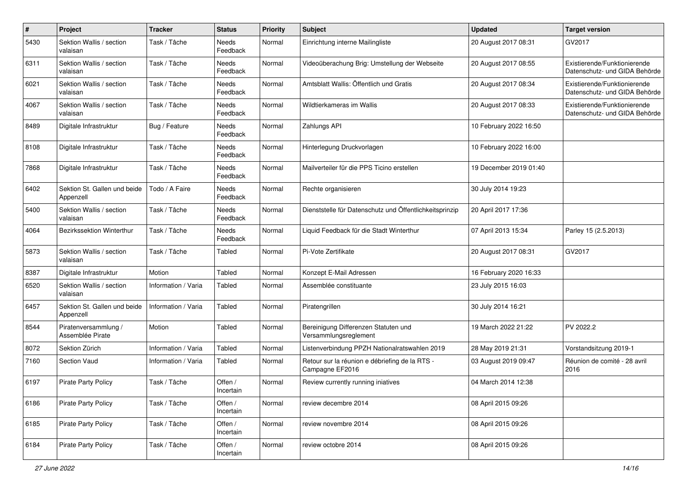| $\#$ | Project                                   | <b>Tracker</b>      | <b>Status</b>        | <b>Priority</b> | Subject                                                           | <b>Updated</b>         | <b>Target version</b>                                         |
|------|-------------------------------------------|---------------------|----------------------|-----------------|-------------------------------------------------------------------|------------------------|---------------------------------------------------------------|
| 5430 | Sektion Wallis / section<br>valaisan      | Task / Tâche        | Needs<br>Feedback    | Normal          | Einrichtung interne Mailingliste                                  | 20 August 2017 08:31   | GV2017                                                        |
| 6311 | Sektion Wallis / section<br>valaisan      | Task / Tâche        | Needs<br>Feedback    | Normal          | Videoüberachung Brig: Umstellung der Webseite                     | 20 August 2017 08:55   | Existierende/Funktionierende<br>Datenschutz- und GIDA Behörde |
| 6021 | Sektion Wallis / section<br>valaisan      | Task / Tâche        | Needs<br>Feedback    | Normal          | Amtsblatt Wallis: Öffentlich und Gratis                           | 20 August 2017 08:34   | Existierende/Funktionierende<br>Datenschutz- und GIDA Behörde |
| 4067 | Sektion Wallis / section<br>valaisan      | Task / Tâche        | Needs<br>Feedback    | Normal          | Wildtierkameras im Wallis                                         | 20 August 2017 08:33   | Existierende/Funktionierende<br>Datenschutz- und GIDA Behörde |
| 8489 | Digitale Infrastruktur                    | Bug / Feature       | Needs<br>Feedback    | Normal          | Zahlungs API                                                      | 10 February 2022 16:50 |                                                               |
| 8108 | Digitale Infrastruktur                    | Task / Tâche        | Needs<br>Feedback    | Normal          | Hinterlegung Druckvorlagen                                        | 10 February 2022 16:00 |                                                               |
| 7868 | Digitale Infrastruktur                    | Task / Tâche        | Needs<br>Feedback    | Normal          | Mailverteiler für die PPS Ticino erstellen                        | 19 December 2019 01:40 |                                                               |
| 6402 | Sektion St. Gallen und beide<br>Appenzell | Todo / A Faire      | Needs<br>Feedback    | Normal          | Rechte organisieren                                               | 30 July 2014 19:23     |                                                               |
| 5400 | Sektion Wallis / section<br>valaisan      | Task / Tâche        | Needs<br>Feedback    | Normal          | Dienststelle für Datenschutz und Öffentlichkeitsprinzip           | 20 April 2017 17:36    |                                                               |
| 4064 | Bezirkssektion Winterthur                 | Task / Tâche        | Needs<br>Feedback    | Normal          | Liquid Feedback für die Stadt Winterthur                          | 07 April 2013 15:34    | Parley 15 (2.5.2013)                                          |
| 5873 | Sektion Wallis / section<br>valaisan      | Task / Tâche        | Tabled               | Normal          | Pi-Vote Zertifikate                                               | 20 August 2017 08:31   | GV2017                                                        |
| 8387 | Digitale Infrastruktur                    | Motion              | <b>Tabled</b>        | Normal          | Konzept E-Mail Adressen                                           | 16 February 2020 16:33 |                                                               |
| 6520 | Sektion Wallis / section<br>valaisan      | Information / Varia | Tabled               | Normal          | Assemblée constituante                                            | 23 July 2015 16:03     |                                                               |
| 6457 | Sektion St. Gallen und beide<br>Appenzell | Information / Varia | <b>Tabled</b>        | Normal          | Piratengrillen                                                    | 30 July 2014 16:21     |                                                               |
| 8544 | Piratenversammlung /<br>Assemblée Pirate  | Motion              | <b>Tabled</b>        | Normal          | Bereinigung Differenzen Statuten und<br>Versammlungsreglement     | 19 March 2022 21:22    | PV 2022.2                                                     |
| 8072 | Sektion Zürich                            | Information / Varia | <b>Tabled</b>        | Normal          | Listenverbindung PPZH Nationalratswahlen 2019                     | 28 May 2019 21:31      | Vorstandsitzung 2019-1                                        |
| 7160 | <b>Section Vaud</b>                       | Information / Varia | Tabled               | Normal          | Retour sur la réunion e débriefing de la RTS -<br>Campagne EF2016 | 03 August 2019 09:47   | Réunion de comité - 28 avril<br>2016                          |
| 6197 | <b>Pirate Party Policy</b>                | Task / Tâche        | Offen /<br>Incertain | Normal          | Review currently running iniatives                                | 04 March 2014 12:38    |                                                               |
| 6186 | <b>Pirate Party Policy</b>                | Task / Tâche        | Offen /<br>Incertain | Normal          | review decembre 2014                                              | 08 April 2015 09:26    |                                                               |
| 6185 | <b>Pirate Party Policy</b>                | Task / Tâche        | Offen /<br>Incertain | Normal          | review novembre 2014                                              | 08 April 2015 09:26    |                                                               |
| 6184 | <b>Pirate Party Policy</b>                | Task / Tâche        | Offen /<br>Incertain | Normal          | review octobre 2014                                               | 08 April 2015 09:26    |                                                               |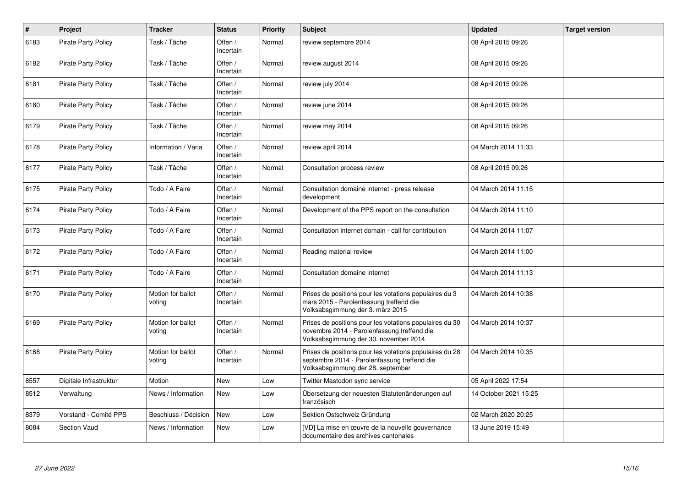| $\pmb{\#}$ | Project                    | <b>Tracker</b>              | <b>Status</b>        | <b>Priority</b> | <b>Subject</b>                                                                                                                                  | <b>Updated</b>        | <b>Target version</b> |
|------------|----------------------------|-----------------------------|----------------------|-----------------|-------------------------------------------------------------------------------------------------------------------------------------------------|-----------------------|-----------------------|
| 6183       | <b>Pirate Party Policy</b> | Task / Tâche                | Offen /<br>Incertain | Normal          | review septembre 2014                                                                                                                           | 08 April 2015 09:26   |                       |
| 6182       | <b>Pirate Party Policy</b> | Task / Tâche                | Offen /<br>Incertain | Normal          | review august 2014                                                                                                                              | 08 April 2015 09:26   |                       |
| 6181       | <b>Pirate Party Policy</b> | Task / Tâche                | Offen /<br>Incertain | Normal          | review july 2014                                                                                                                                | 08 April 2015 09:26   |                       |
| 6180       | <b>Pirate Party Policy</b> | Task / Tâche                | Offen /<br>Incertain | Normal          | review june 2014                                                                                                                                | 08 April 2015 09:26   |                       |
| 6179       | <b>Pirate Party Policy</b> | Task / Tâche                | Offen /<br>Incertain | Normal          | review may 2014                                                                                                                                 | 08 April 2015 09:26   |                       |
| 6178       | <b>Pirate Party Policy</b> | Information / Varia         | Offen /<br>Incertain | Normal          | review april 2014                                                                                                                               | 04 March 2014 11:33   |                       |
| 6177       | <b>Pirate Party Policy</b> | Task / Tâche                | Offen /<br>Incertain | Normal          | Consultation process review                                                                                                                     | 08 April 2015 09:26   |                       |
| 6175       | <b>Pirate Party Policy</b> | Todo / A Faire              | Offen /<br>Incertain | Normal          | Consultation domaine internet - press release<br>development                                                                                    | 04 March 2014 11:15   |                       |
| 6174       | <b>Pirate Party Policy</b> | Todo / A Faire              | Offen /<br>Incertain | Normal          | Development of the PPS report on the consultation                                                                                               | 04 March 2014 11:10   |                       |
| 6173       | <b>Pirate Party Policy</b> | Todo / A Faire              | Offen /<br>Incertain | Normal          | Consultation internet domain - call for contribution                                                                                            | 04 March 2014 11:07   |                       |
| 6172       | <b>Pirate Party Policy</b> | Todo / A Faire              | Offen /<br>Incertain | Normal          | Reading material review                                                                                                                         | 04 March 2014 11:00   |                       |
| 6171       | <b>Pirate Party Policy</b> | Todo / A Faire              | Offen /<br>Incertain | Normal          | Consultation domaine internet                                                                                                                   | 04 March 2014 11:13   |                       |
| 6170       | <b>Pirate Party Policy</b> | Motion for ballot<br>voting | Offen /<br>Incertain | Normal          | Prises de positions pour les votations populaires du 3<br>mars 2015 - Parolenfassung treffend die<br>Volksabsgimmung der 3. märz 2015           | 04 March 2014 10:38   |                       |
| 6169       | <b>Pirate Party Policy</b> | Motion for ballot<br>voting | Offen /<br>Incertain | Normal          | Prises de positions pour les votations populaires du 30<br>novembre 2014 - Parolenfassung treffend die<br>Volksabsgimmung der 30. november 2014 | 04 March 2014 10:37   |                       |
| 6168       | <b>Pirate Party Policy</b> | Motion for ballot<br>voting | Offen /<br>Incertain | Normal          | Prises de positions pour les votations populaires du 28<br>septembre 2014 - Parolenfassung treffend die<br>Volksabsgimmung der 28. september    | 04 March 2014 10:35   |                       |
| 8557       | Digitale Infrastruktur     | Motion                      | <b>New</b>           | Low             | Twitter Mastodon sync service                                                                                                                   | 05 April 2022 17:54   |                       |
| 8512       | Verwaltung                 | News / Information          | <b>New</b>           | Low             | Übersetzung der neuesten Statutenänderungen auf<br>französisch                                                                                  | 14 October 2021 15:25 |                       |
| 8379       | Vorstand - Comité PPS      | Beschluss / Décision        | <b>New</b>           | Low             | Sektion Ostschweiz Gründung                                                                                                                     | 02 March 2020 20:25   |                       |
| 8084       | <b>Section Vaud</b>        | News / Information          | New                  | Low             | [VD] La mise en œuvre de la nouvelle gouvernance<br>documentaire des archives cantonales                                                        | 13 June 2019 15:49    |                       |